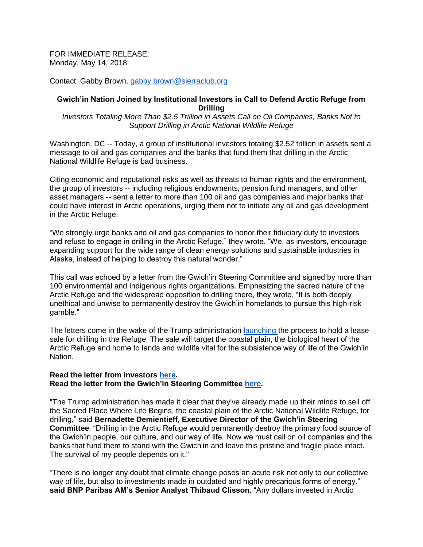FOR IMMEDIATE RELEASE: Monday, May 14, 2018

Contact: Gabby Brown, [gabby.brown@sierraclub.org](mailto:gabby.brown@sierraclub.org)

## **Gwich'in Nation Joined by Institutional Investors in Call to Defend Arctic Refuge from Drilling**

*Investors Totaling More Than \$2.5 Trillion in Assets Call on Oil Companies, Banks Not to Support Drilling in Arctic National Wildlife Refuge*

Washington, DC -- Today, a group of institutional investors totaling \$2.52 trillion in assets sent a message to oil and gas companies and the banks that fund them that drilling in the Arctic National Wildlife Refuge is bad business.

Citing economic and reputational risks as well as threats to human rights and the environment, the group of investors -- including religious endowments, pension fund managers, and other asset managers -- sent a letter to more than 100 oil and gas companies and major banks that could have interest in Arctic operations, urging them not to initiate any oil and gas development in the Arctic Refuge.

"We strongly urge banks and oil and gas companies to honor their fiduciary duty to investors and refuse to engage in drilling in the Arctic Refuge," they wrote. "We, as investors, encourage expanding support for the wide range of clean energy solutions and sustainable industries in Alaska, instead of helping to destroy this natural wonder."

This call was echoed by a letter from the Gwich'in Steering Committee and signed by more than 100 environmental and Indigenous rights organizations. Emphasizing the sacred nature of the Arctic Refuge and the widespread opposition to drilling there, they wrote, "It is both deeply unethical and unwise to permanently destroy the Gwich'in homelands to pursue this high-risk gamble."

The letters come in the wake of the Trump administration **launching** the process to hold a lease sale for drilling in the Refuge. The sale will target the coastal plain, the biological heart of the Arctic Refuge and home to lands and wildlife vital for the subsistence way of life of the Gwich'in Nation.

## **Read the letter from investors [here.](https://www.sierraclub.org/sites/www.sierraclub.org/files/press-room/Investor%20Arctic%20National%20Wildlife%20Refuge%20Letter%20%5B2%5D.pdf) Read the letter from the Gwich'in Steering Committee [here.](https://www.sierraclub.org/sites/www.sierraclub.org/files/press-room/Gwich%27in%20Steering%20Committee%252FGreen%20Group%20Sign%20on%20Letter%20%281%29.pdf)**

"The Trump administration has made it clear that they've already made up their minds to sell off the Sacred Place Where Life Begins, the coastal plain of the Arctic National Wildlife Refuge, for drilling," said **Bernadette Demientieff, Executive Director of the Gwich'in Steering Committee**. "Drilling in the Arctic Refuge would permanently destroy the primary food source of the Gwich'in people, our culture, and our way of life. Now we must call on oil companies and the banks that fund them to stand with the Gwich'in and leave this pristine and fragile place intact. The survival of my people depends on it."

"There is no longer any doubt that climate change poses an acute risk not only to our collective way of life, but also to investments made in outdated and highly precarious forms of energy." **said BNP Paribas AM's Senior Analyst Thibaud Clisson.** "Any dollars invested in Arctic